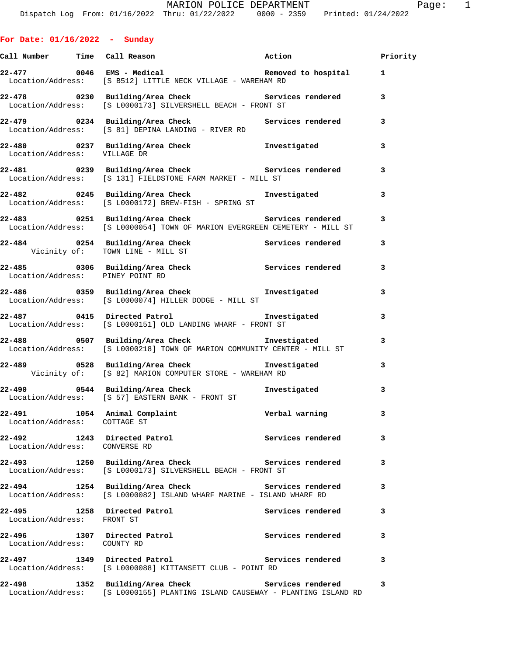|  |  | For Date: 01/16/2022 |  | Sunday |
|--|--|----------------------|--|--------|
|--|--|----------------------|--|--------|

|                                        | Call Number Time Call Reason Naction                                                                                                |                   | Priority     |
|----------------------------------------|-------------------------------------------------------------------------------------------------------------------------------------|-------------------|--------------|
|                                        | Location/Address: [S B512] LITTLE NECK VILLAGE - WAREHAM RD                                                                         |                   | $\mathbf{1}$ |
|                                        | 22-478 0230 Building/Area Check <b>Services</b> rendered<br>Location/Address: [S L0000173] SILVERSHELL BEACH - FRONT ST             |                   | 3            |
|                                        | Location/Address: [S 81] DEPINA LANDING - RIVER RD                                                                                  |                   | 3            |
| Location/Address: VILLAGE DR           | 22-480 0237 Building/Area Check 1nvestigated                                                                                        |                   | 3            |
|                                        | 22-481 0239 Building/Area Check Services rendered<br>Location/Address: [S 131] FIELDSTONE FARM MARKET - MILL ST                     |                   | 3            |
|                                        | 22-482 0245 Building/Area Check 5 Investigated<br>Location/Address: [S L0000172] BREW-FISH - SPRING ST                              |                   | 3            |
|                                        | 22-483 0251 Building/Area Check Services rendered<br>Location/Address: [S L0000054] TOWN OF MARION EVERGREEN CEMETERY - MILL ST     |                   | 3            |
|                                        | 22-484 0254 Building/Area Check Services rendered<br>Vicinity of: TOWN LINE - MILL ST<br>Vicinity of: TOWN LINE - MILL ST           |                   | 3            |
| Location/Address: PINEY POINT RD       | 22-485 0306 Building/Area Check Services rendered                                                                                   |                   | 3            |
|                                        | Location/Address: [S L0000074] HILLER DODGE - MILL ST                                                                               |                   | 3            |
|                                        | 22-487 0415 Directed Patrol <b>Example 22-487</b><br>Location/Address: [S L0000151] OLD LANDING WHARF - FRONT ST                    |                   | 3            |
|                                        | 22-488 0507 Building/Area Check <b>The Investigated</b><br>Location/Address: [S L0000218] TOWN OF MARION COMMUNITY CENTER - MILL ST |                   | 3            |
|                                        | 22-489 		 0528 Building/Area Check 		 Investigated<br>Vicinity of: [S 82] MARION COMPUTER STORE - WAREHAM RD                        |                   | 3            |
|                                        | 22-490 0544 Building/Area Check <b>Investigated</b><br>Location/Address: [S 57] EASTERN BANK - FRONT ST                             |                   | 3            |
| 22-491<br>Location/Address: COTTAGE ST | 1054 Animal Complaint                                                                                                               | Verbal warning    | 3            |
| Location/Address: CONVERSE RD          | 22-492 1243 Directed Patrol                                                                                                         | Services rendered | 3            |
|                                        | 22-493 1250 Building/Area Check Services rendered<br>Location/Address: [S L0000173] SILVERSHELL BEACH - FRONT ST                    |                   | 3            |
|                                        | 22-494 1254 Building/Area Check <b>Services</b> rendered<br>Location/Address: [S L0000082] ISLAND WHARF MARINE - ISLAND WHARF RD    |                   | 3            |
| Location/Address: FRONT ST             | 22-495 1258 Directed Patrol                                                                                                         | Services rendered | 3            |
| Location/Address: COUNTY RD            | 22-496 1307 Directed Patrol                                                                                                         | Services rendered | 3            |
|                                        | 22-497 1349 Directed Patrol<br>Location/Address: [S L0000088] KITTANSETT CLUB - POINT RD                                            | Services rendered | 3            |
|                                        | 22-498 1352 Building/Area Check Services rendered<br>Location/Address: [S L0000155] PLANTING ISLAND CAUSEWAY - PLANTING ISLAND RD   |                   | 3            |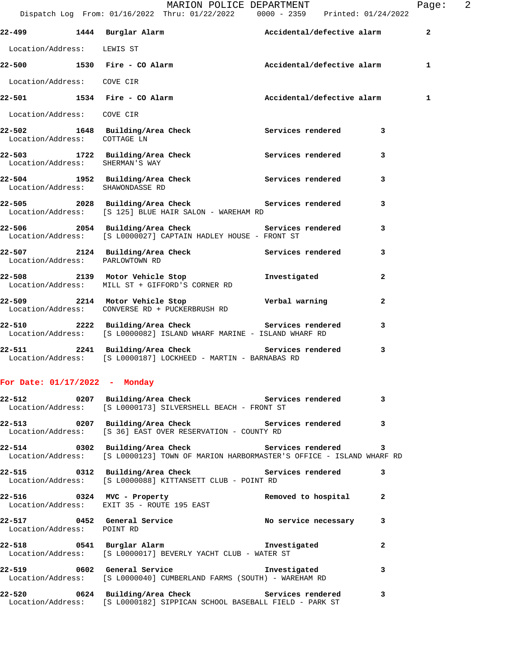|                                  | 22-499 1444 Burglar Alarm Netton Accidental/defective alarm                                                                                  |                        | $\overline{\mathbf{2}}$ |
|----------------------------------|----------------------------------------------------------------------------------------------------------------------------------------------|------------------------|-------------------------|
| Location/Address: LEWIS ST       |                                                                                                                                              |                        |                         |
|                                  | 22-500 1530 Fire - CO Alarm Accidental/defective alarm                                                                                       |                        | 1                       |
| Location/Address: COVE CIR       |                                                                                                                                              |                        |                         |
|                                  | 22-501 1534 Fire - CO Alarm Maccidental/defective alarm                                                                                      |                        | 1                       |
| Location/Address: COVE CIR       |                                                                                                                                              |                        |                         |
| Location/Address: COTTAGE LN     | 22-502 1648 Building/Area Check Services rendered                                                                                            |                        | 3                       |
| Location/Address: SHERMAN'S WAY  | 22-503 1722 Building/Area Check Services rendered                                                                                            |                        | 3                       |
| Location/Address: SHAWONDASSE RD | 22-504 1952 Building/Area Check Services rendered                                                                                            |                        | 3                       |
|                                  | 22-505 2028 Building/Area Check Services rendered<br>Location/Address: [S 125] BLUE HAIR SALON - WAREHAM RD                                  |                        | 3                       |
|                                  | 22-506 2054 Building/Area Check 20 Services rendered<br>Location/Address: [S L0000027] CAPTAIN HADLEY HOUSE - FRONT ST                       |                        | 3                       |
| Location/Address: PARLOWTOWN RD  | 22-507 2124 Building/Area Check Services rendered                                                                                            |                        | 3                       |
|                                  | 22-508 2139 Motor Vehicle Stop<br>Location/Address: MILL ST + GIFFORD'S CORNER RD                                                            | Investigated           | $\mathbf{2}$            |
|                                  | 22-509 2214 Motor Vehicle Stop Nerbal warning<br>Location/Address: CONVERSE RD + PUCKERBRUSH RD                                              |                        | $\mathbf{2}$            |
|                                  | 22-510 2222 Building/Area Check Services rendered<br>Location/Address: [S L0000082] ISLAND WHARF MARINE - ISLAND WHARF RD                    |                        | 3                       |
|                                  | 22-511 2241 Building/Area Check 22-511<br>Location/Address: [S L0000187] LOCKHEED - MARTIN - BARNABAS RD                                     |                        | 3                       |
| For Date: $01/17/2022$ - Monday  |                                                                                                                                              |                        |                         |
|                                  | 22-512 0207 Building/Area Check Services rendered<br>Location/Address: [S L0000173] SILVERSHELL BEACH - FRONT ST                             |                        | 3                       |
|                                  | 22-513 0207 Building/Area Check Services rendered 3<br>Location/Address: [S 36] EAST OVER RESERVATION - COUNTY RD                            |                        |                         |
|                                  | 22-514 0302 Building/Area Check Services rendered 3<br>Location/Address: [S L0000123] TOWN OF MARION HARBORMASTER'S OFFICE - ISLAND WHARF RD |                        |                         |
|                                  | 22-515 0312 Building/Area Check 6 Services rendered<br>Location/Address: [S L0000088] KITTANSETT CLUB - POINT RD                             |                        | 3                       |
|                                  | 22-516      0324   MVC - Property             Removed to hospital<br>Location/Address:   EXIT 35 - ROUTE 195 EAST                            |                        | 2                       |
| Location/Address: POINT RD       | 22-517 0452 General Service                                                                                                                  | No service necessary 3 |                         |
|                                  | 22-518 0541 Burglar Alarm 1 and the Investigated<br>Location/Address: [S L0000017] BEVERLY YACHT CLUB - WATER ST                             |                        | 2                       |
|                                  | 22-519 0602 General Service<br>Location/Address: [S L0000040] CUMBERLAND FARMS (SOUTH) - WAREHAM RD                                          | Investigated           | 3                       |
|                                  | 22-520 0624 Building/Area Check Services rendered<br>Location/Address: [S L0000182] SIPPICAN SCHOOL BASEBALL FIELD - PARK ST                 |                        | 3                       |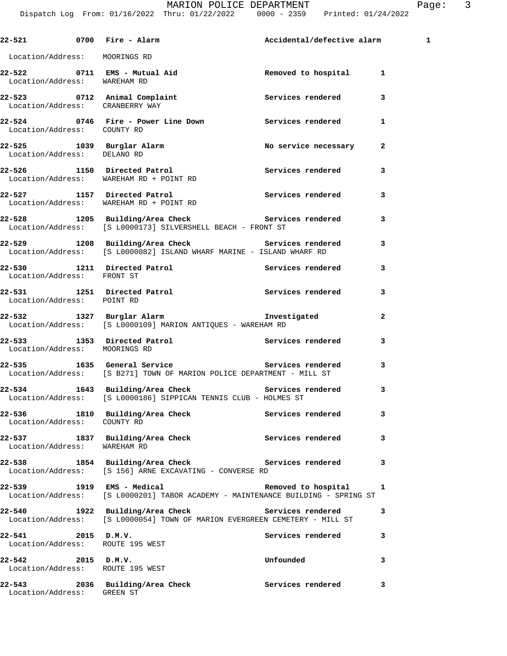|                                                        | 22-521 0700 Fire - Alarm National Accidental/defective alarm                                                                    |                       |              | 1 |
|--------------------------------------------------------|---------------------------------------------------------------------------------------------------------------------------------|-----------------------|--------------|---|
| Location/Address: MOORINGS RD                          |                                                                                                                                 |                       |              |   |
| Location/Address: WAREHAM RD                           | 22-522 0711 EMS - Mutual Aid                                                                                                    | Removed to hospital 1 |              |   |
| Location/Address: CRANBERRY WAY                        | 22-523 0712 Animal Complaint Complaint Services rendered                                                                        |                       | 3            |   |
| Location/Address: COUNTY RD                            | 22-524 0746 Fire - Power Line Down Services rendered 1                                                                          |                       |              |   |
| Location/Address: DELANO RD                            | 22-525 1039 Burglar Alarm                                                                                                       | No service necessary  | 2            |   |
|                                                        | 22-526 1150 Directed Patrol<br>Location/Address: WAREHAM RD + POINT RD                                                          | Services rendered     | 3            |   |
|                                                        | 22-527 1157 Directed Patrol<br>Location/Address: WAREHAM RD + POINT RD                                                          | Services rendered     | 3            |   |
|                                                        | 22-528 1205 Building/Area Check Services rendered<br>Location/Address: [S L0000173] SILVERSHELL BEACH - FRONT ST                |                       | 3            |   |
|                                                        | 22-529 1208 Building/Area Check Services rendered<br>Location/Address: [S L0000082] ISLAND WHARF MARINE - ISLAND WHARF RD       |                       | 3            |   |
| Location/Address: FRONT ST                             | 22-530 1211 Directed Patrol 1997 - Services rendered                                                                            |                       | 3            |   |
| Location/Address: POINT RD                             | 22-531 1251 Directed Patrol                                                                                                     | Services rendered     | 3            |   |
|                                                        | Location/Address: [S L0000109] MARION ANTIQUES - WAREHAM RD                                                                     |                       | $\mathbf{2}$ |   |
| Location/Address: MOORINGS RD                          | 22-533 1353 Directed Patrol 22-533 Services rendered                                                                            |                       | 3            |   |
|                                                        | Location/Address: [S B271] TOWN OF MARION POLICE DEPARTMENT - MILL ST                                                           |                       | 3            |   |
|                                                        | 22-534 1643 Building/Area Check 22-534 Services rendered<br>Location/Address: [S L0000186] SIPPICAN TENNIS CLUB - HOLMES ST     |                       | 3            |   |
| Location/Address: COUNTY RD                            | 22-536 1810 Building/Area Check                                                                                                 | Services rendered     | 3            |   |
| Location/Address: WAREHAM RD                           | 22-537 1837 Building/Area Check                                                                                                 | Services rendered     | 3            |   |
|                                                        | 22-538 1854 Building/Area Check Services rendered<br>Location/Address: [S 156] ARNE EXCAVATING - CONVERSE RD                    |                       | 3            |   |
|                                                        | 22-539 1919 EMS - Medical<br>Location/Address: [S L0000201] TABOR ACADEMY - MAINTENANCE BUILDING - SPRING ST                    | Removed to hospital   | 1            |   |
|                                                        | 22-540 1922 Building/Area Check Services rendered<br>Location/Address: [S L0000054] TOWN OF MARION EVERGREEN CEMETERY - MILL ST |                       | 3            |   |
| 22-541 2015 D.M.V.<br>Location/Address: ROUTE 195 WEST |                                                                                                                                 | Services rendered     | 3            |   |
| 22-542 2015 D.M.V.<br>Location/Address: ROUTE 195 WEST |                                                                                                                                 | Unfounded             | 3            |   |
| Location/Address: GREEN ST                             | 22-543 2036 Building/Area Check                                                                                                 | Services rendered     | 3            |   |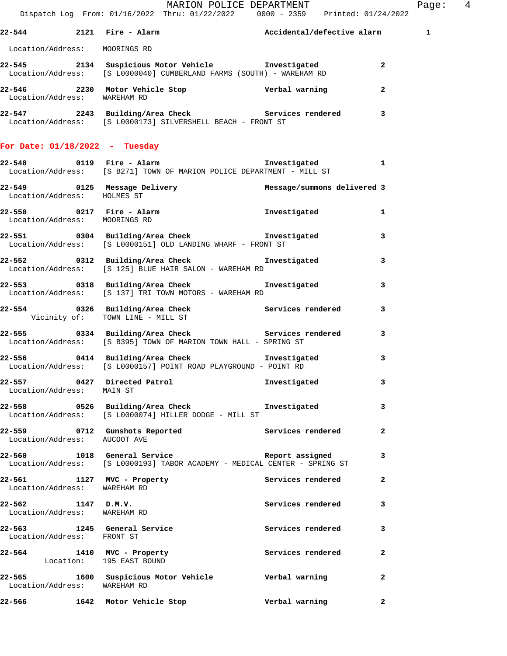| Dispatch Log From: 01/16/2022 Thru: 01/22/2022 0000 - 2359 Printed: 01/24/2022                                                                                                         |  |                         |  | MARION POLICE DEPARTMENT |                | Pa |
|----------------------------------------------------------------------------------------------------------------------------------------------------------------------------------------|--|-------------------------|--|--------------------------|----------------|----|
| 22-544 2121 Fire - Alarm National/defective alarm 1                                                                                                                                    |  |                         |  |                          |                |    |
| Location/Address: MOORINGS RD                                                                                                                                                          |  |                         |  |                          |                |    |
| 22-545 2134 Suspicious Motor Vehicle Threstigated<br>Location/Address: [S L0000040] CUMBERLAND FARMS (SOUTH) - WAREHAM RD                                                              |  |                         |  |                          | $\mathbf{2}$   |    |
| 22-546 2230 Motor Vehicle Stop Verbal warning<br>Icoation (Address: WAREWAM PD<br>Location/Address: WAREHAM RD                                                                         |  |                         |  |                          | $\mathbf{2}$   |    |
| 22-547 2243 Building/Area Check Services rendered<br>Location/Address: [S L0000173] SILVERSHELL BEACH - FRONT ST                                                                       |  |                         |  |                          | 3              |    |
| For Date: $01/18/2022 - Tuesday$                                                                                                                                                       |  |                         |  |                          |                |    |
| 22-548 0119 Fire - Alarm National Resource of the Second State of the Second State of the Second State of the<br>Location/Address: [S B271] TOWN OF MARION POLICE DEPARTMENT - MILL ST |  |                         |  |                          |                |    |
| Location/Address: HOLMES ST                                                                                                                                                            |  |                         |  |                          |                |    |
| 22-550 0217 Fire - Alarm 10 mvestigated<br>Location/Address: MOORINGS RD                                                                                                               |  |                         |  |                          | $\mathbf{1}$   |    |
| 22-551 0304 Building/Area Check <b>The Investigated</b> 3<br>Location/Address: [S L0000151] OLD LANDING WHARF - FRONT ST                                                               |  |                         |  |                          |                |    |
| 22-552 0312 Building/Area Check Investigated<br>Location/Address: [S 125] BLUE HAIR SALON - WAREHAM RD                                                                                 |  |                         |  |                          | 3              |    |
| 22-553 0318 Building/Area Check <b>The Investigated</b><br>Location/Address: [S 137] TRI TOWN MOTORS - WAREHAM RD                                                                      |  |                         |  |                          | 3              |    |
| 22-554 0326 Building/Area Check Services rendered<br>Vicinity of: TOWN LINE - MILL ST                                                                                                  |  |                         |  |                          | 3              |    |
| 22-555 0334 Building/Area Check <b>Services</b> rendered<br>Location/Address: [S B395] TOWN OF MARION TOWN HALL - SPRING ST                                                            |  |                         |  |                          | 3              |    |
| 22-556 0414 Building/Area Check <b>Investigated</b><br>Location/Address: [S L0000157] POINT ROAD PLAYGROUND - POINT RD                                                                 |  |                         |  |                          | 3              |    |
| 22-557 0427 Directed Patrol<br>Location/Address: MAIN ST                                                                                                                               |  |                         |  | Investigated             | 3              |    |
| 22-558 0526 Building/Area Check 1nvestigated<br>Location/Address: [S L0000074] HILLER DODGE - MILL ST                                                                                  |  |                         |  |                          | 3              |    |
| 22-559 0712 Gunshots Reported<br>Location/Address: AUCOOT AVE                                                                                                                          |  |                         |  | Services rendered        | $\overline{a}$ |    |
| 22-560 1018 General Service and the Report assigned<br>Location/Address: [S L0000193] TABOR ACADEMY - MEDICAL CENTER - SPRING ST                                                       |  |                         |  |                          | 3              |    |
| 22-561 1127 MVC - Property<br>Location/Address: WAREHAM RD                                                                                                                             |  |                         |  | Services rendered        | 2              |    |
| $22-562$ 1147 D.M.V.<br>Location/Address: WAREHAM RD                                                                                                                                   |  |                         |  | Services rendered        | 3              |    |
| 22-563 1245 General Service<br>Location/Address: FRONT ST                                                                                                                              |  |                         |  | Services rendered        | 3              |    |
| 22-564 1410 MVC - Property<br>Location: 195 EAST BOUND                                                                                                                                 |  |                         |  | Services rendered        | $\mathbf{2}$   |    |
| 22-565 1600 Suspicious Motor Vehicle Corporation Verbal warning<br>Location/Address: WAREHAM RD                                                                                        |  |                         |  |                          | 2              |    |
| 22-566                                                                                                                                                                                 |  | 1642 Motor Vehicle Stop |  | Verbal warning           | $\overline{a}$ |    |

age: 4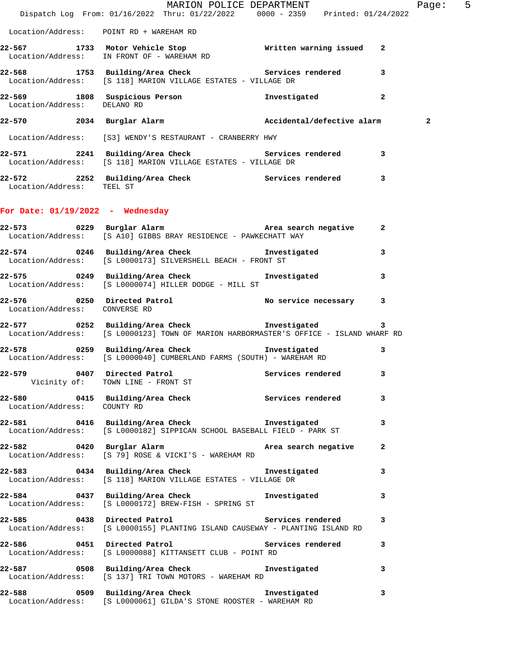|                                    | MARION POLICE DEPARTMENT<br>Dispatch Log From: 01/16/2022 Thru: 01/22/2022 0000 - 2359 Printed: 01/24/2022                                          |                        |              | Page: 5      |  |
|------------------------------------|-----------------------------------------------------------------------------------------------------------------------------------------------------|------------------------|--------------|--------------|--|
|                                    | Location/Address: POINT RD + WAREHAM RD                                                                                                             |                        |              |              |  |
|                                    | 22-567 1733 Motor Vehicle Stop Written warning issued 2<br>Location/Address: IN FRONT OF - WAREHAM RD                                               |                        |              |              |  |
|                                    | 22-568 1753 Building/Area Check 5ervices rendered 3<br>Location/Address: [S 118] MARION VILLAGE ESTATES - VILLAGE DR                                |                        |              |              |  |
|                                    | 22-569 1808 Suspicious Person Investigated 2<br>Location/Address: DELANORD                                                                          |                        |              |              |  |
|                                    | 22-570 2034 Burglar Alarm 2008 Accidental/defective alarm                                                                                           |                        |              | $\mathbf{2}$ |  |
|                                    | Location/Address: [S3] WENDY'S RESTAURANT - CRANBERRY HWY                                                                                           |                        |              |              |  |
|                                    | 22-571 2241 Building/Area Check 22-571 2241 Services rendered<br>Location/Address: [S 118] MARION VILLAGE ESTATES - VILLAGE DR                      |                        |              |              |  |
| Location/Address: TEEL ST          | 22-572 2252 Building/Area Check 22-572 Services rendered 3                                                                                          |                        |              |              |  |
| For Date: $01/19/2022 -$ Wednesday |                                                                                                                                                     |                        |              |              |  |
|                                    | 22-573 0229 Burglar Alarm Nate a Area search negative 2<br>Location/Address: [S A10] GIBBS BRAY RESIDENCE - PAWKECHATT WAY                          |                        |              |              |  |
|                                    | 22-574 0246 Building/Area Check <b>Investigated</b> 3<br>Location/Address: [S L0000173] SILVERSHELL BEACH - FRONT ST                                |                        |              |              |  |
|                                    | 22-575 0249 Building/Area Check Investigated<br>Location/Address: [S L0000074] HILLER DODGE - MILL ST                                               |                        | $\mathbf{3}$ |              |  |
| Location/Address: CONVERSE RD      | 22-576      0250   Directed Patrol             No service necessary    3<br>Location/Address:   CONVERSE RD                                         |                        |              |              |  |
|                                    | 22-577 0252 Building/Area Check https://www.filesophy.com/<br>Location/Address: [S L0000123] TOWN OF MARION HARBORMASTER'S OFFICE - ISLAND WHARF RD |                        | $\mathbf{3}$ |              |  |
|                                    | 22-578 0259 Building/Area Check <b>The Investigated</b><br>Location/Address: [S L0000040] CUMBERLAND FARMS (SOUTH) - WAREHAM RD                     |                        | 3            |              |  |
|                                    | 22-579 0407 Directed Patrol<br>Vicinity of: TOWN LINE - FRONT ST                                                                                    | Services rendered 3    |              |              |  |
| Location/Address: COUNTY RD        | 22-580 0415 Building/Area Check 5ervices rendered 3                                                                                                 |                        |              |              |  |
|                                    | 22-581 0416 Building/Area Check 1nvestigated<br>Location/Address: [S L0000182] SIPPICAN SCHOOL BASEBALL FIELD - PARK ST                             |                        | 3            |              |  |
|                                    | 22-582 0420 Burglar Alarm<br>Location/Address: [S 79] ROSE & VICKI'S - WAREHAM RD                                                                   | Area search negative 2 |              |              |  |
|                                    | 22-583 0434 Building/Area Check 1nvestigated 3<br>Location/Address: [S 118] MARION VILLAGE ESTATES - VILLAGE DR                                     |                        |              |              |  |
|                                    | 22-584 0437 Building/Area Check 1nvestigated 3<br>Location/Address: [S L0000172] BREW-FISH - SPRING ST                                              |                        |              |              |  |
|                                    | 22-585 0438 Directed Patrol New Services rendered<br>Location/Address: [S L0000155] PLANTING ISLAND CAUSEWAY - PLANTING ISLAND RD                   |                        | 3            |              |  |
|                                    | 22-586 0451 Directed Patrol 22-586 services rendered 3<br>Location/Address: [S L0000088] KITTANSETT CLUB - POINT RD                                 |                        |              |              |  |
|                                    | 22-587 0508 Building/Area Check 1nvestigated 3<br>Location/Address: [S 137] TRI TOWN MOTORS - WAREHAM RD                                            |                        |              |              |  |
|                                    | 22-588 0509 Building/Area Check 1nvestigated<br>Location/Address: [S L0000061] GILDA'S STONE ROOSTER - WAREHAM RD                                   |                        | $\mathbf{3}$ |              |  |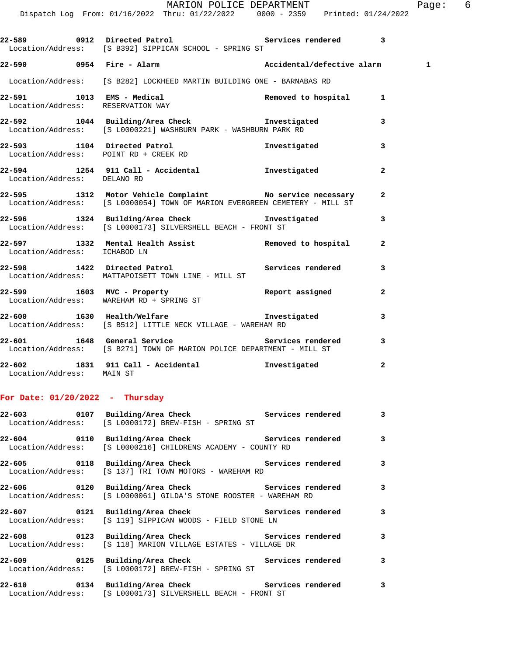|                              | Dispatch Log From: 01/16/2022 Thru: 01/22/2022 0000 - 2359 Printed: 01/24/2022                                                                                                                                                                                      | MARION POLICE DEPARTMENT |                | Pa          |
|------------------------------|---------------------------------------------------------------------------------------------------------------------------------------------------------------------------------------------------------------------------------------------------------------------|--------------------------|----------------|-------------|
|                              | 22-589 0912 Directed Patrol <b>120 Contract Contract Contract Contract</b> 2<br>Location/Address: [S B392] SIPPICAN SCHOOL - SPRING ST                                                                                                                              |                          |                |             |
|                              | 22-590 0954 Fire - Alarm National Accidental/defective alarm                                                                                                                                                                                                        |                          |                | $\mathbf 1$ |
|                              | Location/Address: [S B282] LOCKHEED MARTIN BUILDING ONE - BARNABAS RD                                                                                                                                                                                               |                          |                |             |
|                              | 22-591 1013 EMS - Medical Removed to hospital Removed Constant Removed Constants and Removed Constants Removed Constants and Removed Constants Removed Constants and Removed Constants and Removed Constants and Removed Const<br>Location/Address: RESERVATION WAY |                          | -1             |             |
|                              | 22-592 1044 Building/Area Check <b>Thus Investigated</b><br>Location/Address: [S L0000221] WASHBURN PARK - WASHBURN PARK RD                                                                                                                                         |                          | 3              |             |
|                              | 22-593 1104 Directed Patrol<br>Location/Address: POINT RD + CREEK RD                                                                                                                                                                                                | Investigated             | 3              |             |
| Location/Address: DELANO RD  | 22-594 1254 911 Call - Accidental Montestigated                                                                                                                                                                                                                     |                          | $\overline{a}$ |             |
|                              | 22-595 1312 Motor Vehicle Complaint No service necessary<br>Location/Address: [S L0000054] TOWN OF MARION EVERGREEN CEMETERY - MILL ST                                                                                                                              |                          | $\overline{a}$ |             |
|                              | 22-596 1324 Building/Area Check how investigated<br>Location/Address: [S L0000173] SILVERSHELL BEACH - FRONT ST                                                                                                                                                     |                          | 3              |             |
| Location/Address: ICHABOD LN | 22-597 1332 Mental Health Assist 1988 Removed to hospital                                                                                                                                                                                                           |                          | $\mathbf{2}$   |             |
|                              | 22-598 1422 Directed Patrol Network Services rendered<br>Location/Address: MATTAPOISETT TOWN LINE - MILL ST                                                                                                                                                         |                          | 3              |             |
|                              | $22-599$ 1603 MVC - Property<br>Location/Address: WAREHAM RD + SPRING ST                                                                                                                                                                                            | Report assigned          | $\mathbf{2}$   |             |

**22-600 1630 Health/Welfare Investigated 3**  Location/Address: [S B512] LITTLE NECK VILLAGE - WAREHAM RD

**22-601 1648 General Service Services rendered 3**  Location/Address: [S B271] TOWN OF MARION POLICE DEPARTMENT - MILL ST **22-602 1831 911 Call - Accidental Investigated 2** 

Location/Address: MAIN ST

## **For Date: 01/20/2022 - Thursday**

| 22-603 0107 Building/Area Check 5ervices rendered 3<br>Location/Address: [S L0000172] BREW-FISH - SPRING ST                       |  |              |
|-----------------------------------------------------------------------------------------------------------------------------------|--|--------------|
| 22-604 			 0110 Building/Area Check 					 Services rendered 		 3<br>Location/Address: [S L0000216] CHILDRENS ACADEMY - COUNTY RD  |  |              |
| 22-605 			 0118 Building/Area Check 				 Services rendered 3<br>Location/Address: [S 137] TRI TOWN MOTORS - WAREHAM RD            |  |              |
| Location/Address: [S L0000061] GILDA'S STONE ROOSTER - WAREHAM RD                                                                 |  |              |
| 22-607 			 0121 Building/Area Check 				 Services rendered 3<br>  Location/Address: [S 119] SIPPICAN WOODS - FIELD STONE LN       |  |              |
| 22-608 			 0123 Building/Area Check 					 Services rendered 		 3<br>Location/Address: [S 118] MARION VILLAGE ESTATES - VILLAGE DR |  |              |
| 22-609 			 0125 Building/Area Check 				 Services rendered 3<br>Location/Address: [S L0000172] BREW-FISH - SPRING ST              |  |              |
| 22-610 			 0134 Building/Area Check 				 Services rendered<br>Location/Address: [S L0000173] SILVERSHELL BEACH - FRONT ST         |  | $\mathbf{3}$ |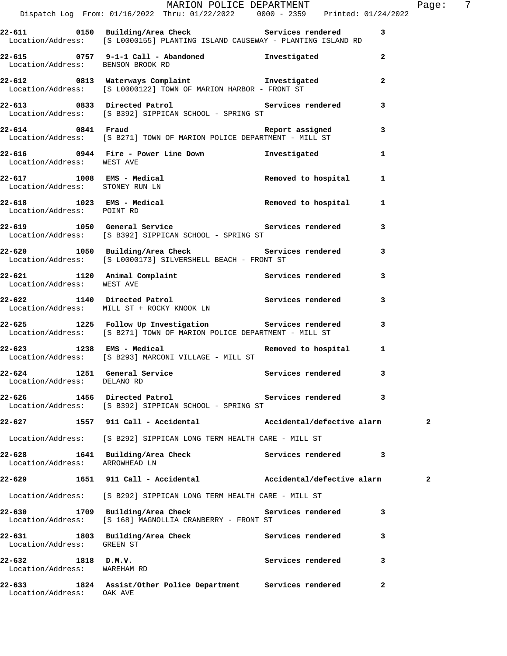|                                                            | Dispatch Log From: 01/16/2022 Thru: 01/22/2022   0000 - 2359   Printed: 01/24/2022                                                  | MARION POLICE DEPARTMENT |              | Page: 7      |  |
|------------------------------------------------------------|-------------------------------------------------------------------------------------------------------------------------------------|--------------------------|--------------|--------------|--|
|                                                            | 22-611 0150 Building/Area Check 6 Services rendered<br>Location/Address: [S L0000155] PLANTING ISLAND CAUSEWAY - PLANTING ISLAND RD |                          | 3            |              |  |
|                                                            | 22-615 0757 9-1-1 Call - Abandoned Threstigated<br>Location/Address: BENSON BROOK RD                                                |                          | $\mathbf{2}$ |              |  |
|                                                            |                                                                                                                                     |                          | 2            |              |  |
|                                                            | 22-613 0833 Directed Patrol Services rendered<br>Location/Address: [S B392] SIPPICAN SCHOOL - SPRING ST                             |                          | 3            |              |  |
|                                                            | 22-614 0841 Fraud Report assigned 3<br>Location/Address: [S B271] TOWN OF MARION POLICE DEPARTMENT - MILL ST                        |                          |              |              |  |
| Location/Address: WEST AVE                                 | 22-616 		 0944 Fire - Power Line Down 		 Investigated                                                                               |                          | $\mathbf{1}$ |              |  |
| Location/Address: STONEY RUN LN                            | 22-617 1008 EMS - Medical 1 22-617 Removed to hospital 1                                                                            |                          |              |              |  |
| Location/Address: POINT RD                                 | 22-618 1023 EMS - Medical 100 Removed to hospital                                                                                   |                          | 1            |              |  |
|                                                            | 22-619 1050 General Service 3 Services rendered 3<br>Location/Address: [S B392] SIPPICAN SCHOOL - SPRING ST                         |                          |              |              |  |
|                                                            | 22-620 1050 Building/Area Check Services rendered<br>Location/Address: [S L0000173] SILVERSHELL BEACH - FRONT ST                    |                          | 3            |              |  |
| Location/Address: WEST AVE                                 | 22-621 1120 Animal Complaint Services rendered 3                                                                                    |                          |              |              |  |
|                                                            | 22-622 1140 Directed Patrol 22-622 Services rendered<br>Location/Address: MILL ST + ROCKY KNOOK LN                                  |                          | 3            |              |  |
|                                                            | 22-625 1225 Follow Up Investigation Services rendered 3<br>Location/Address: [S B271] TOWN OF MARION POLICE DEPARTMENT - MILL ST    |                          |              |              |  |
|                                                            | 22-623 1238 EMS - Medical <b>Removed</b> to hospital 1<br>Location/Address: [S B293] MARCONI VILLAGE - MILL ST                      |                          |              |              |  |
| 22-624 1251 General Service<br>Location/Address: DELANO RD |                                                                                                                                     | Services rendered 3      |              |              |  |
|                                                            | 22-626 1456 Directed Patrol New Services rendered<br>Location/Address: [S B392] SIPPICAN SCHOOL - SPRING ST                         |                          | 3            |              |  |
|                                                            | 22-627 1557 911 Call - Accidental (accidental/defective alarm                                                                       |                          |              | 2            |  |
|                                                            | Location/Address: [S B292] SIPPICAN LONG TERM HEALTH CARE - MILL ST                                                                 |                          |              |              |  |
| Location/Address: ARROWHEAD LN                             | 22-628 1641 Building/Area Check Services rendered                                                                                   |                          | 3            |              |  |
|                                                            | 22-629 1651 911 Call - Accidental (accidental/defective alarm                                                                       |                          |              | $\mathbf{2}$ |  |
|                                                            | Location/Address: [S B292] SIPPICAN LONG TERM HEALTH CARE - MILL ST                                                                 |                          |              |              |  |
|                                                            | 22-630 1709 Building/Area Check Services rendered<br>Location/Address: [S 168] MAGNOLLIA CRANBERRY - FRONT ST                       |                          | 3            |              |  |
| Location/Address: GREEN ST                                 | 22-631 1803 Building/Area Check Services rendered                                                                                   |                          | 3            |              |  |
| 22-632 1818 D.M.V.<br>Location/Address: WAREHAM RD         |                                                                                                                                     | Services rendered        | 3            |              |  |
| Location/Address: OAK AVE                                  | 22-633 1824 Assist/Other Police Department Services rendered                                                                        |                          | $\mathbf{2}$ |              |  |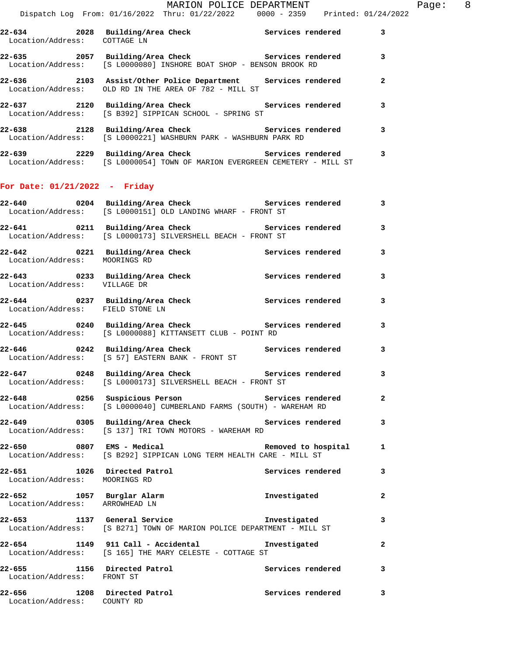| 22-634<br>2028<br>Location/Address:     | Building/Area Check<br>COTTAGE LN                                                       | Services rendered | 3            |
|-----------------------------------------|-----------------------------------------------------------------------------------------|-------------------|--------------|
| 22-635<br>2057<br>Location/Address:     | Building/Area Check<br>[S L0000080] INSHORE BOAT SHOP - BENSON BROOK RD                 | Services rendered | 3            |
| $22 - 636$<br>2103<br>Location/Address: | Assist/Other Police Department Services rendered<br>OLD RD IN THE AREA OF 782 - MILL ST |                   | $\mathbf{2}$ |
| $22 - 637$<br>2120                      | Building/Area Check<br>Location/Address: [S B392] SIPPICAN SCHOOL - SPRING ST           | Services rendered | 3            |
| 22-638<br>2128                          | Building/Area Check                                                                     | Services rendered | 3            |

| 22-639            | 2229 Building/Area Check                      |  |  | Services rendered |  |
|-------------------|-----------------------------------------------|--|--|-------------------|--|
| Location/Address: | [S L0000221] WASHBURN PARK - WASHBURN PARK RD |  |  |                   |  |

| 22 U J J          |  | building, Alea Check |  |                                                          | Delvices lendered |  |  |
|-------------------|--|----------------------|--|----------------------------------------------------------|-------------------|--|--|
| Location/Address: |  |                      |  | [S L0000054] TOWN OF MARION EVERGREEN CEMETERY - MILL ST |                   |  |  |

## **For Date: 01/21/2022 - Friday**

|                                                            | 22-640 0204 Building/Area Check 6 Services rendered 3<br>$\texttt{Location/Address:} \qquad \texttt{[S L0000151] \hspace{0.05in} OLD LANDING WHARF - FROMT ST}$ |                     |                         |
|------------------------------------------------------------|-----------------------------------------------------------------------------------------------------------------------------------------------------------------|---------------------|-------------------------|
| 22-641                                                     | 0211 Building/Area Check<br>Location/Address: [S L0000173] SILVERSHELL BEACH - FRONT ST                                                                         | Services rendered 3 |                         |
| Location/Address: MOORINGS RD                              |                                                                                                                                                                 |                     | 3                       |
| Location/Address: VILLAGE DR                               | 22-643 0233 Building/Area Check <b>Services</b> rendered                                                                                                        |                     | 3                       |
| Location/Address: FIELD STONE LN                           | 22-644 0237 Building/Area Check Services rendered                                                                                                               |                     | 3                       |
|                                                            | Location/Address: [S L0000088] KITTANSETT CLUB - POINT RD                                                                                                       |                     | $\overline{\mathbf{3}}$ |
|                                                            | 22-646 0242 Building/Area Check Services rendered<br>Location/Address: [S 57] EASTERN BANK - FRONT ST                                                           |                     | 3                       |
|                                                            | 22-647 0248 Building/Area Check Services rendered<br>Location/Address: [S L0000173] SILVERSHELL BEACH - FRONT ST                                                |                     | $\overline{\mathbf{3}}$ |
|                                                            | Location/Address: [S L0000040] CUMBERLAND FARMS (SOUTH) - WAREHAM RD                                                                                            |                     |                         |
| 22-649                                                     | 0305 Building/Area Check Services rendered 3<br>Location/Address: [S 137] TRI TOWN MOTORS - WAREHAM RD                                                          |                     |                         |
| 22-650 0807 EMS - Medical                                  | Location/Address: [S B292] SIPPICAN LONG TERM HEALTH CARE - MILL ST                                                                                             | Removed to hospital | $\mathbf{1}$            |
| Location/Address: MOORINGS RD                              | 22-651 1026 Directed Patrol 22-651 Services rendered 3                                                                                                          |                     |                         |
| Location/Address: ARROWHEAD LN                             |                                                                                                                                                                 |                     | $\mathbf{2}$            |
| $22 - 653$                                                 | 1137 General Service<br>Location/Address: [S B271] TOWN OF MARION POLICE DEPARTMENT - MILL ST                                                                   | Investigated        | 3                       |
|                                                            | 22-654 1149 911 Call - Accidental Monostigated<br>Location/Address: [S 165] THE MARY CELESTE - COTTAGE ST                                                       |                     | $\overline{a}$          |
|                                                            |                                                                                                                                                                 |                     |                         |
| 22-656 1208 Directed Patrol<br>Location/Address: COUNTY RD |                                                                                                                                                                 | Services rendered 3 |                         |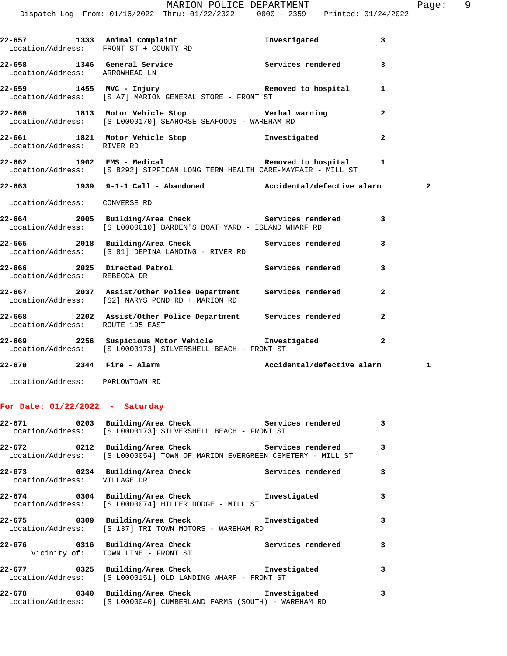| 22-670 2344 Fire - Alarm         |                                                                                                                                         | Accidental/defective alarm |                | 1              |  |
|----------------------------------|-----------------------------------------------------------------------------------------------------------------------------------------|----------------------------|----------------|----------------|--|
|                                  | 22-669 2256 Suspicious Motor Vehicle Chronic Investigated<br>Location/Address: [S L0000173] SILVERSHELL BEACH - FRONT ST                |                            | $\mathbf{2}$   |                |  |
| Location/Address: ROUTE 195 EAST | 22-668 2202 Assist/Other Police Department Services rendered 2                                                                          |                            |                |                |  |
|                                  | 22-667 2037 Assist/Other Police Department Services rendered<br>Location/Address: [S2] MARYS POND RD + MARION RD                        |                            | $\overline{a}$ |                |  |
| Location/Address: REBECCA DR     | 22-666 2025 Directed Patrol 2008 Services rendered 3                                                                                    |                            |                |                |  |
|                                  | 22-665 2018 Building/Area Check Services rendered<br>Location/Address: [S 81] DEPINA LANDING - RIVER RD                                 |                            | 3              |                |  |
|                                  | 22-664 2005 Building/Area Check Services rendered 3<br>Location/Address: [S L0000010] BARDEN'S BOAT YARD - ISLAND WHARF RD              |                            |                |                |  |
| Location/Address: CONVERSE RD    |                                                                                                                                         |                            |                |                |  |
|                                  | 22-663 1939 9-1-1 Call - Abandoned Accidental/defective alarm                                                                           |                            |                | $\overline{a}$ |  |
|                                  | 22-662 1902 EMS - Medical 1 22-662 Removed to hospital 1<br>Location/Address: [S B292] SIPPICAN LONG TERM HEALTH CARE-MAYFAIR - MILL ST |                            |                |                |  |
| Location/Address: RIVER RD       | 22-661 1821 Motor Vehicle Stop 11 Investigated                                                                                          |                            | $\overline{a}$ |                |  |
|                                  | 22-660 1813 Motor Vehicle Stop Nerbal warning<br>Location/Address: [S L0000170] SEAHORSE SEAFOODS - WAREHAM RD                          |                            | $\overline{a}$ |                |  |
|                                  | Location/Address: [S A7] MARION GENERAL STORE - FRONT ST                                                                                |                            |                |                |  |
| Location/Address: ARROWHEAD LN   | 22-658 1346 General Service Services Services rendered                                                                                  |                            | 3              |                |  |
|                                  | 22-657 1333 Animal Complaint<br>Location/Address: FRONT ST + COUNTY RD                                                                  | Investigated 3             |                |                |  |
|                                  | $\verb+MARION POLICE DEPARTMENT\n  Dispatch Log From: 01/16/2022 Thru: 01/22/2022 0000 - 2359 Printed: 01/24/2022$                      |                            |                | Page: 9        |  |

Location/Address: PARLOWTOWN RD

## **For Date: 01/22/2022 - Saturday**

|                              | 22-671 0203 Building/Area Check 5ervices rendered<br>Location/Address: [S L0000173] SILVERSHELL BEACH - FRONT ST                      |                   | 3 |
|------------------------------|---------------------------------------------------------------------------------------------------------------------------------------|-------------------|---|
|                              | 22-672 		 0212 Building/Area Check 		 Services rendered<br>Location/Address: [S L0000054] TOWN OF MARION EVERGREEN CEMETERY - MILL ST |                   | 3 |
| Location/Address: VILLAGE DR | 22-673 0234 Building/Area Check                                                                                                       | Services rendered | 3 |
|                              | 22-674 0304 Building/Area Check 1nvestigated<br>Location/Address: [S L0000074] HILLER DODGE - MILL ST                                 |                   | з |
|                              | 22-675 0309 Building/Area Check 1nvestigated<br>Location/Address: [S 137] TRI TOWN MOTORS - WAREHAM RD                                |                   | 3 |
|                              | 22-676 			 0316 Building/Area Check 				 Services rendered<br>Vicinity of: TOWN LINE - FRONT ST                                       |                   | 3 |
|                              | 22-677 0325 Building/Area Check 5 Investigated<br>Location/Address: [S L0000151] OLD LANDING WHARF - FRONT ST                         |                   | 3 |
|                              | 22-678 0340 Building/Area Check 1nvestigated<br>Location/Address: [S L0000040] CUMBERLAND FARMS (SOUTH) - WAREHAM RD                  |                   | 3 |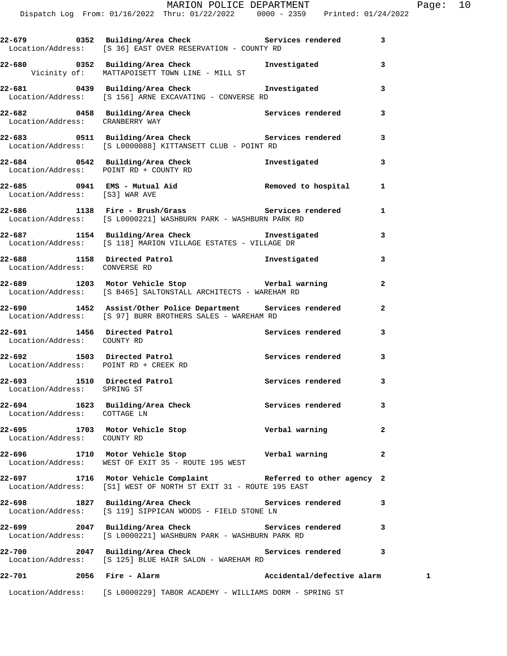| Location/Address: POINT RD + CREEK RD<br>22-693 1510 Directed Patrol | Location/Address: [S B465] SALTONSTALL ARCHITECTS - WAREHAM RD<br>22-690 1452 Assist/Other Police Department Services rendered<br>Location/Address: [S 97] BURR BROTHERS SALES - WAREHAM RD<br>22-691 1456 Directed Patrol 22-691 Services rendered<br>22-692 1503 Directed Patrol | Services rendered<br>Services rendered | $\overline{a}$<br>$\mathbf{2}$<br>3<br>3<br>3 |
|----------------------------------------------------------------------|------------------------------------------------------------------------------------------------------------------------------------------------------------------------------------------------------------------------------------------------------------------------------------|----------------------------------------|-----------------------------------------------|
| Location/Address: COUNTY RD                                          |                                                                                                                                                                                                                                                                                    |                                        |                                               |
|                                                                      |                                                                                                                                                                                                                                                                                    |                                        |                                               |
|                                                                      |                                                                                                                                                                                                                                                                                    |                                        |                                               |
|                                                                      |                                                                                                                                                                                                                                                                                    |                                        |                                               |
| Location/Address: CONVERSE RD                                        | 22-689 1203 Motor Vehicle Stop Nerbal warning                                                                                                                                                                                                                                      |                                        |                                               |
|                                                                      | Location/Address: [S 118] MARION VILLAGE ESTATES - VILLAGE DR<br>22-688 1158 Directed Patrol                                                                                                                                                                                       | Investigated                           | 3                                             |
|                                                                      | Location/Address: [S L0000221] WASHBURN PARK - WASHBURN PARK RD<br>22-687 1154 Building/Area Check 1nvestigated                                                                                                                                                                    |                                        | 3                                             |
| Location/Address: [S3] WAR AVE                                       | 22-686 1138 Fire - Brush/Grass Services rendered                                                                                                                                                                                                                                   |                                        | 1                                             |
| Location/Address: POINT RD + COUNTY RD                               |                                                                                                                                                                                                                                                                                    |                                        | 1                                             |
|                                                                      | Location/Address: [S L0000088] KITTANSETT CLUB - POINT RD<br>22-684 0542 Building/Area Check Tnvestigated                                                                                                                                                                          |                                        | 3                                             |
| Location/Address: CRANBERRY WAY                                      | 22-683 0511 Building/Area Check Services rendered                                                                                                                                                                                                                                  |                                        | 3                                             |
|                                                                      | Location/Address: [S 156] ARNE EXCAVATING - CONVERSE RD<br>22-682 0458 Building/Area Check Services rendered                                                                                                                                                                       |                                        | 3                                             |
|                                                                      | Vicinity of: MATTAPOISETT TOWN LINE - MILL ST<br>22-681 0439 Building/Area Check 1nvestigated                                                                                                                                                                                      |                                        | 3                                             |
|                                                                      | 22-679 		 0352 Building/Area Check 		 Services rendered<br>Location/Address: [S 36] EAST OVER RESERVATION - COUNTY RD<br>22-680 0352 Building/Area Check <b>The Investigated</b>                                                                                                   |                                        | 3<br>3                                        |
|                                                                      |                                                                                                                                                                                                                                                                                    |                                        |                                               |